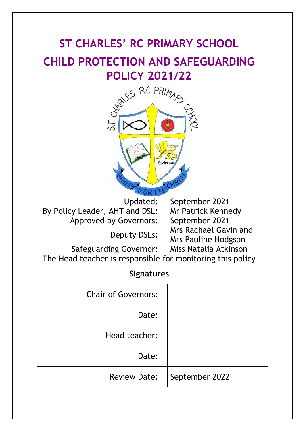# **ST CHARLES' RC PRIMARY SCHOOL CHILD PROTECTION AND SAFEGUARDING**



By Policy Leader, AHT and DSL: Mr Patrick Kennedy Approved by Governors: September 2021

Updated: September 2021 Deputy DSLs: Mrs Rachael Gavin and Mrs Pauline Hodgson

Safeguarding Governor: Miss Natalia Atkinson The Head teacher is responsible for monitoring this policy

| <b>Signatures</b>          |                |  |  |  |
|----------------------------|----------------|--|--|--|
| <b>Chair of Governors:</b> |                |  |  |  |
| Date:                      |                |  |  |  |
| Head teacher:              |                |  |  |  |
| Date:                      |                |  |  |  |
| <b>Review Date:</b>        | September 2022 |  |  |  |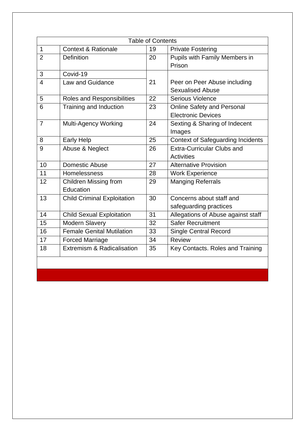| <b>Table of Contents</b> |                                    |    |                                          |  |  |
|--------------------------|------------------------------------|----|------------------------------------------|--|--|
| 1                        | <b>Context &amp; Rationale</b>     | 19 | <b>Private Fostering</b>                 |  |  |
| $\overline{2}$           | <b>Definition</b>                  | 20 | Pupils with Family Members in            |  |  |
|                          |                                    |    | Prison                                   |  |  |
| 3                        | Covid-19                           |    |                                          |  |  |
| 4                        | Law and Guidance                   | 21 | Peer on Peer Abuse including             |  |  |
|                          |                                    |    | <b>Sexualised Abuse</b>                  |  |  |
| 5                        | Roles and Responsibilities         | 22 | <b>Serious Violence</b>                  |  |  |
| 6                        | Training and Induction             | 23 | <b>Online Safety and Personal</b>        |  |  |
|                          |                                    |    | <b>Electronic Devices</b>                |  |  |
| $\overline{7}$           | <b>Multi-Agency Working</b>        | 24 | Sexting & Sharing of Indecent            |  |  |
|                          |                                    |    | Images                                   |  |  |
| 8                        | <b>Early Help</b>                  | 25 | <b>Context of Safeguarding Incidents</b> |  |  |
| 9                        | Abuse & Neglect                    | 26 | <b>Extra-Curricular Clubs and</b>        |  |  |
|                          |                                    |    | <b>Activities</b>                        |  |  |
| 10                       | <b>Domestic Abuse</b>              | 27 | <b>Alternative Provision</b>             |  |  |
| 11                       | Homelessness                       | 28 | <b>Work Experience</b>                   |  |  |
| 12                       | Children Missing from              | 29 | <b>Manging Referrals</b>                 |  |  |
|                          | Education                          |    |                                          |  |  |
| 13                       | <b>Child Criminal Exploitation</b> | 30 | Concerns about staff and                 |  |  |
|                          |                                    |    | safeguarding practices                   |  |  |
| 14                       | <b>Child Sexual Exploitation</b>   | 31 | Allegations of Abuse against staff       |  |  |
| 15                       | <b>Modern Slavery</b>              | 32 | <b>Safer Recruitment</b>                 |  |  |
| 16                       | <b>Female Genital Mutilation</b>   | 33 | <b>Single Central Record</b>             |  |  |
| 17                       | <b>Forced Marriage</b>             | 34 | <b>Review</b>                            |  |  |
| 18                       | Extremism & Radicalisation         | 35 | Key Contacts. Roles and Training         |  |  |
|                          |                                    |    |                                          |  |  |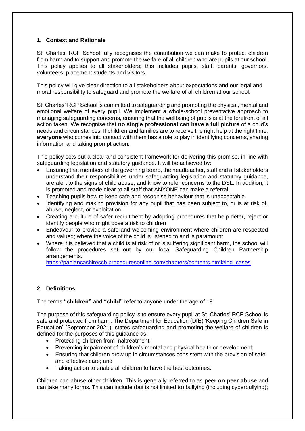# **1. Context and Rationale**

St. Charles' RCP School fully recognises the contribution we can make to protect children from harm and to support and promote the welfare of all children who are pupils at our school. This policy applies to all stakeholders; this includes pupils, staff, parents, governors, volunteers, placement students and visitors.

This policy will give clear direction to all stakeholders about expectations and our legal and moral responsibility to safeguard and promote the welfare of all children at our school.

St. Charles' RCP School is committed to safeguarding and promoting the physical, mental and emotional welfare of every pupil. We implement a whole-school preventative approach to managing safeguarding concerns, ensuring that the wellbeing of pupils is at the forefront of all action taken. We recognise that **no single professional can have a full picture** of a child's needs and circumstances. If children and families are to receive the right help at the right time, **everyone** who comes into contact with them has a role to play in identifying concerns, sharing information and taking prompt action.

This policy sets out a clear and consistent framework for delivering this promise, in line with safeguarding legislation and statutory guidance. It will be achieved by:

- Ensuring that members of the governing board, the headteacher, staff and all stakeholders understand their responsibilities under safeguarding legislation and statutory guidance, are alert to the signs of child abuse, and know to refer concerns to the DSL. In addition, it is promoted and made clear to all staff that ANYONE can make a referral.
- Teaching pupils how to keep safe and recognise behaviour that is unacceptable.
- Identifying and making provision for any pupil that has been subject to, or is at risk of, abuse, neglect, or exploitation.
- Creating a culture of safer recruitment by adopting procedures that help deter, reject or identify people who might pose a risk to children
- Endeavour to provide a safe and welcoming environment where children are respected and valued; where the voice of the child is listened to and is paramount
- Where it is believed that a child is at risk of or is suffering significant harm, the school will follow the procedures set out by our local Safeguarding Children Partnership arrangements.

[https://panlancashirescb.proceduresonline.com/chapters/contents.html#ind\\_cases](https://panlancashirescb.proceduresonline.com/chapters/contents.html#ind_cases)

# **2. Definitions**

The terms **"children"** and **"child"** refer to anyone under the age of 18.

The purpose of this safeguarding policy is to ensure every pupil at St. Charles' RCP School is safe and protected from harm. The Department for Education (DfE) 'Keeping Children Safe in Education' (September 2021), states safeguarding and promoting the welfare of children is defined for the purposes of this guidance as:

- Protecting children from maltreatment;
- Preventing impairment of children's mental and physical health or development;
- Ensuring that children grow up in circumstances consistent with the provision of safe and effective care; and
- Taking action to enable all children to have the best outcomes.

Children can abuse other children. This is generally referred to as **peer on peer abuse** and can take many forms. This can include (but is not limited to) bullying (including cyberbullying);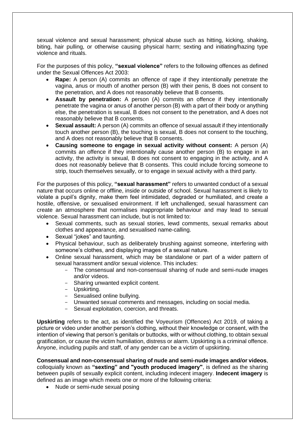sexual violence and sexual harassment; physical abuse such as hitting, kicking, shaking, biting, hair pulling, or otherwise causing physical harm; sexting and initiating/hazing type violence and rituals.

For the purposes of this policy, **"sexual violence"** refers to the following offences as defined under the Sexual Offences Act 2003:

- **Rape:** A person (A) commits an offence of rape if they intentionally penetrate the vagina, anus or mouth of another person (B) with their penis, B does not consent to the penetration, and A does not reasonably believe that B consents.
- **Assault by penetration:** A person (A) commits an offence if they intentionally penetrate the vagina or anus of another person (B) with a part of their body or anything else, the penetration is sexual, B does not consent to the penetration, and A does not reasonably believe that B consents.
- **Sexual assault:** A person (A) commits an offence of sexual assault if they intentionally touch another person (B), the touching is sexual, B does not consent to the touching, and A does not reasonably believe that B consents.
- **Causing someone to engage in sexual activity without consent:** A person (A) commits an offence if they intentionally cause another person (B) to engage in an activity, the activity is sexual, B does not consent to engaging in the activity, and A does not reasonably believe that B consents. This could include forcing someone to strip, touch themselves sexually, or to engage in sexual activity with a third party.

For the purposes of this policy, **"sexual harassment"** refers to unwanted conduct of a sexual nature that occurs online or offline, inside or outside of school. Sexual harassment is likely to violate a pupil's dignity, make them feel intimidated, degraded or humiliated, and create a hostile, offensive, or sexualised environment. If left unchallenged, sexual harassment can create an atmosphere that normalises inappropriate behaviour and may lead to sexual violence. Sexual harassment can include, but is not limited to:

- Sexual comments, such as sexual stories, lewd comments, sexual remarks about clothes and appearance, and sexualised name-calling.
- Sexual "jokes" and taunting.
- Physical behaviour, such as deliberately brushing against someone, interfering with someone's clothes, and displaying images of a sexual nature.
- Online sexual harassment, which may be standalone or part of a wider pattern of sexual harassment and/or sexual violence. This includes:
	- The consensual and non-consensual sharing of nude and semi-nude images and/or videos.
	- Sharing unwanted explicit content.
	- Upskirting.
	- Sexualised online bullying.
	- Unwanted sexual comments and messages, including on social media.
	- Sexual exploitation, coercion, and threats.

**Upskirting** refers to the act, as identified the Voyeurism (Offences) Act 2019, of taking a picture or video under another person's clothing, without their knowledge or consent, with the intention of viewing that person's genitals or buttocks, with or without clothing, to obtain sexual gratification, or cause the victim humiliation, distress or alarm. Upskirting is a criminal offence. Anyone, including pupils and staff, of any gender can be a victim of upskirting.

**Consensual and non-consensual sharing of nude and semi-nude images and/or videos**, colloquially known as **"sexting" and "youth produced imagery"**, is defined as the sharing between pupils of sexually explicit content, including indecent imagery. **Indecent imagery** is defined as an image which meets one or more of the following criteria:

• Nude or semi-nude sexual posing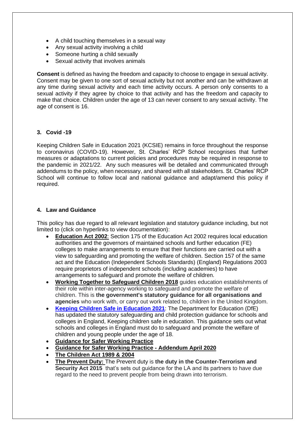- A child touching themselves in a sexual way
- Any sexual activity involving a child
- Someone hurting a child sexually
- Sexual activity that involves animals

**Consent** is defined as having the freedom and capacity to choose to engage in sexual activity. Consent may be given to one sort of sexual activity but not another and can be withdrawn at any time during sexual activity and each time activity occurs. A person only consents to a sexual activity if they agree by choice to that activity and has the freedom and capacity to make that choice. Children under the age of 13 can never consent to any sexual activity. The age of consent is 16.

# **3. Covid -19**

Keeping Children Safe in Education 2021 (KCSIE) remains in force throughout the response to coronavirus (COVID-19). However, St. Charles' RCP School recognises that further measures or adaptations to current policies and procedures may be required in response to the pandemic in 2021/22. Any such measures will be detailed and communicated through addendums to the policy, when necessary, and shared with all stakeholders. St. Charles' RCP School will continue to follow local and national guidance and adapt/amend this policy if required.

# **4. Law and Guidance**

This policy has due regard to all relevant legislation and statutory guidance including, but not limited to (click on hyperlinks to view documentation):

- **[Education Act](http://www.legislation.gov.uk/ukpga/2002/32/contents) 2002**: Section 175 of the Education Act 2002 requires local education authorities and the governors of maintained schools and further education (FE) colleges to make arrangements to ensure that their functions are carried out with a view to safeguarding and promoting the welfare of children. Section 157 of the same act and the Education (Independent Schools Standards) (England) Regulations 2003 require proprietors of independent schools (including academies) to have arrangements to safeguard and promote the welfare of children.
- **[Working Together to Safeguard Children 2018](https://www.gov.uk/government/publications/working-together-to-safeguard-children--2)** guides education establishments of their role within inter-agency working to safeguard and promote the welfare of children. This is **the government's statutory guidance for all organisations and agencies** who work with, or carry out work related to, children in the United Kingdom.
- **[Keeping Children Safe in Education 2021](https://assets.publishing.service.gov.uk/government/uploads/system/uploads/attachment_data/file/1007260/Keeping_children_safe_in_education_2021.pdf)**: The Department for Education (DfE) has updated the statutory safeguarding and child protection guidance for schools and colleges in England, Keeping children safe in education. This guidance sets out what schools and colleges in England must do to safeguard and promote the welfare of children and young people under the age of 18.
- **[Guidance for Safer Working Practice](https://c-cluster-110.uploads.documents.cimpress.io/v1/uploads/13ecce28-e8f2-49e9-83c6-c29337cd8071~110/original?tenant=vbu-digital)**
- **[Guidance for Safer Working Practice -](https://c-cluster-110.uploads.documents.cimpress.io/v1/uploads/5aba001d-e2e6-42ee-b9cb-bd44831f65f0~110/original?tenant=vbu-digital) Addendum April 2020**
- **[The Children Act 1989](http://www.legislation.gov.uk/ukpga/1989/41/contents) & 2004**
- **[The Prevent Duty:](https://www.gov.uk/government/publications/prevent-duty-guidance/revised-prevent-duty-guidance-for-england-and-wales)** The Prevent duty is **the duty in the Counter-Terrorism and Security Act 2015** that's sets out guidance for the LA and its partners to have due regard to the need to prevent people from being drawn into terrorism.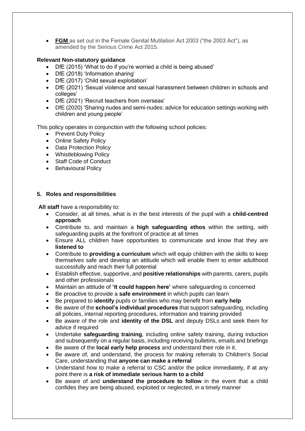• **[FGM](https://www.legislation.gov.uk/ukpga/2003/31/section/4)** as set out in the Female Genital Mutilation Act 2003 ("the 2003 Act"), as amended by the Serious Crime Act 2015.

# **Relevant Non-statutory guidance**

- DfE (2015) 'What to do if you're worried a child is being abused'
- DfE (2018) 'Information sharing'
- DfE (2017) 'Child sexual exploitation'
- DfE (2021) 'Sexual violence and sexual harassment between children in schools and colleges'
- DfE (2021) 'Recruit teachers from overseas'
- DfE (2020) 'Sharing nudes and semi-nudes: advice for education settings working with children and young people'

This policy operates in conjunction with the following school policies:

- Prevent Duty Policy
- Online Safety Policy
- Data Protection Policy
- Whistleblowing Policy
- Staff Code of Conduct
- Behavioural Policy

# **5. Roles and responsibilities**

**All staff** have a responsibility to:

- Consider, at all times, what is in the best interests of the pupil with a **child-centred approach**
- Contribute to, and maintain a **high safeguarding ethos** within the setting, with safeguarding pupils at the forefront of practice at all times
- Ensure ALL children have opportunities to communicate and know that they are **listened to**
- Contribute to **providing a curriculum** which will equip children with the skills to keep themselves safe and develop an attitude which will enable them to enter adulthood successfully and reach their full potential
- Establish effective, supportive, and **positive relationships** with parents, carers, pupils and other professionals
- Maintain an attitude of **'it could happen here'** where safeguarding is concerned
- Be proactive to provide a **safe environment** in which pupils can learn
- Be prepared to **identify** pupils or families who may benefit from **early help**
- Be aware of the **school's individual procedures** that support safeguarding, including all policies, internal reporting procedures, information and training provided
- Be aware of the role and **identity of the DSL** and deputy DSLs and seek them for advice if required
- Undertake **safeguarding training**, including online safety training, during induction and subsequently on a regular basis, including receiving bulletins, emails and briefings
- Be aware of the **local early help process** and understand their role in it.
- Be aware of, and understand, the process for making referrals to Children's Social Care, understanding that **anyone can make a referral**
- Understand how to make a referral to CSC and/or the police immediately, if at any point there is **a risk of immediate serious harm to a child**
- Be aware of and **understand the procedure to follow** in the event that a child confides they are being abused, exploited or neglected, in a timely manner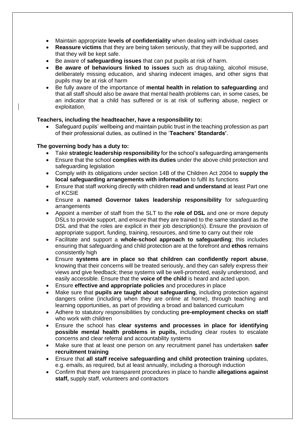- Maintain appropriate **levels of confidentiality** when dealing with individual cases
- **Reassure victims** that they are being taken seriously, that they will be supported, and that they will be kept safe.
- Be aware of **safeguarding issues** that can put pupils at risk of harm.
- **Be aware of behaviours linked to issues** such as drug-taking, alcohol misuse, deliberately missing education, and sharing indecent images, and other signs that pupils may be at risk of harm
- Be fully aware of the importance of **mental health in relation to safeguarding** and that all staff should also be aware that mental health problems can, in some cases, be an indicator that a child has suffered or is at risk of suffering abuse, neglect or exploitation.

# **Teachers, including the headteacher, have a responsibility to:**

• Safeguard pupils' wellbeing and maintain public trust in the teaching profession as part of their professional duties, as outlined in the '**Teachers' Standards'**.

# **The governing body has a duty to:**

- Take **strategic leadership responsibility** for the school's safeguarding arrangements
- Ensure that the school **complies with its duties** under the above child protection and safeguarding legislation
- Comply with its obligations under section 14B of the Children Act 2004 to **supply the local safeguarding arrangements with information** to fulfil its functions
- Ensure that staff working directly with children **read and understand** at least Part one of KCSIE
- Ensure a **named Governor takes leadership responsibility** for safeguarding arrangements
- Appoint a member of staff from the SLT to the **role of DSL** and one or more deputy DSLs to provide support, and ensure that they are trained to the same standard as the DSL and that the roles are explicit in their job description(s). Ensure the provision of appropriate support, funding, training, resources, and time to carry out their role
- Facilitate and support a **whole-school approach to safeguarding**; this includes ensuring that safeguarding and child protection are at the forefront and **ethos** remains consistently high
- Ensure **systems are in place so that children can confidently report abuse**, knowing that their concerns will be treated seriously, and they can safely express their views and give feedback; these systems will be well-promoted, easily understood, and easily accessible. Ensure that the **voice of the child** is heard and acted upon.
- Ensure **effective and appropriate policies** and procedures in place
- Make sure that **pupils are taught about safeguarding**, including protection against dangers online (including when they are online at home), through teaching and learning opportunities, as part of providing a broad and balanced curriculum
- Adhere to statutory responsibilities by conducting **pre-employment checks on staff** who work with children
- Ensure the school has **clear systems and processes in place for identifying possible mental health problems in pupils,** including clear routes to escalate concerns and clear referral and accountability systems
- Make sure that at least one person on any recruitment panel has undertaken **safer recruitment training**
- Ensure that **all staff receive safeguarding and child protection training** updates, e.g. emails, as required, but at least annually, including a thorough induction
- Confirm that there are transparent procedures in place to handle **allegations against staff,** supply staff, volunteers and contractors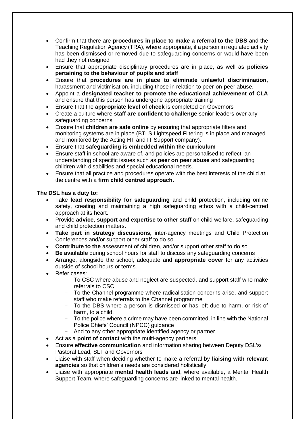- Confirm that there are **procedures in place to make a referral to the DBS** and the Teaching Regulation Agency (TRA), where appropriate, if a person in regulated activity has been dismissed or removed due to safeguarding concerns or would have been had they not resigned
- Ensure that appropriate disciplinary procedures are in place, as well as **policies pertaining to the behaviour of pupils and staff**
- Ensure that **procedures are in place to eliminate unlawful discrimination**, harassment and victimisation, including those in relation to peer-on-peer abuse.
- Appoint a **designated teacher to promote the educational achievement of CLA** and ensure that this person has undergone appropriate training
- Ensure that the **appropriate level of check** is completed on Governors
- Create a culture where **staff are confident to challenge** senior leaders over any safeguarding concerns
- Ensure that **children are safe online** by ensuring that appropriate filters and monitoring systems are in place (BTLS Lightspeed Filtering is in place and managed and monitored by the Acting HT and IT Support company).
- Ensure that **safeguarding is embedded within the curriculum**
- Ensure staff in school are aware of, and policies are personalised to reflect, an understanding of specific issues such as **peer on peer abuse** and safeguarding children with disabilities and special educational needs.
- Ensure that all practice and procedures operate with the best interests of the child at the centre with a **firm child centred approach.**

# **The DSL has a duty to:**

- Take **lead responsibility for safeguarding** and child protection, including online safety, creating and maintaining a high safeguarding ethos with a child-centred approach at its heart.
- Provide **advice, support and expertise to other staff** on child welfare, safeguarding and child protection matters.
- **Take part in strategy discussions,** inter-agency meetings and Child Protection Conferences and/or support other staff to do so.
- **Contribute to the** assessment of children, and/or support other staff to do so
- **Be available** during school hours for staff to discuss any safeguarding concerns
- Arrange, alongside the school, adequate and **appropriate cover** for any activities outside of school hours or terms.
- Refer cases:
	- To CSC where abuse and neglect are suspected, and support staff who make referrals to CSC
	- To the Channel programme where radicalisation concerns arise, and support staff who make referrals to the Channel programme
	- To the DBS where a person is dismissed or has left due to harm, or risk of harm, to a child.
	- To the police where a crime may have been committed, in line with the National Police Chiefs' Council (NPCC) guidance
	- And to any other appropriate identified agency or partner.
- Act as a **point of contact** with the multi-agency partners
- Ensure **effective communication** and information sharing between Deputy DSL's/ Pastoral Lead, SLT and Governors
- Liaise with staff when deciding whether to make a referral by **liaising with relevant agencies** so that children's needs are considered holistically
- Liaise with appropriate **mental health leads** and, where available, a Mental Health Support Team, where safeguarding concerns are linked to mental health.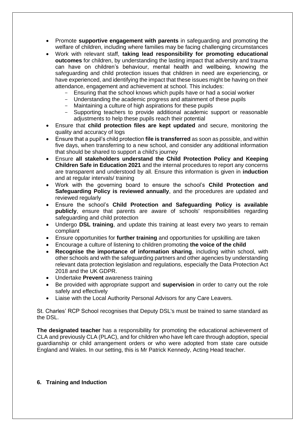- Promote **supportive engagement with parents** in safeguarding and promoting the welfare of children, including where families may be facing challenging circumstances
- Work with relevant staff, **taking lead responsibility for promoting educational outcomes** for children, by understanding the lasting impact that adversity and trauma can have on children's behaviour, mental health and wellbeing, knowing the safeguarding and child protection issues that children in need are experiencing, or have experienced, and identifying the impact that these issues might be having on their attendance, engagement and achievement at school. This includes:
	- Ensuring that the school knows which pupils have or had a social worker
	- Understanding the academic progress and attainment of these pupils
	- Maintaining a culture of high aspirations for these pupils
	- Supporting teachers to provide additional academic support or reasonable adjustments to help these pupils reach their potential
- Ensure that **child protection files are kept updated** and secure, monitoring the quality and accuracy of logs
- Ensure that a pupil's child protection **file is transferred** as soon as possible, and within five days, when transferring to a new school, and consider any additional information that should be shared to support a child's journey
- Ensure **all stakeholders understand the Child Protection Policy and Keeping Children Safe in Education 2021** and the internal procedures to report any concerns are transparent and understood by all. Ensure this information is given in **induction** and at regular intervals/ training
- Work with the governing board to ensure the school's **Child Protection and Safeguarding Policy is reviewed annually**, and the procedures are updated and reviewed regularly
- Ensure the school's **Child Protection and Safeguarding Policy is available publicly**, ensure that parents are aware of schools' responsibilities regarding safeguarding and child protection
- Undergo **DSL training**, and update this training at least every two years to remain compliant
- Ensure opportunities for **further training** and opportunities for upskilling are taken
- Encourage a culture of listening to children promoting **the voice of the child**
- **Recognise the importance of information sharing**, including within school, with other schools and with the safeguarding partners and other agencies by understanding relevant data protection legislation and regulations, especially the Data Protection Act 2018 and the UK GDPR.
- Undertake **Prevent** awareness training
- Be provided with appropriate support and **supervision** in order to carry out the role safely and effectively
- Liaise with the Local Authority Personal Advisors for any Care Leavers.

St. Charles' RCP School recognises that Deputy DSL's must be trained to same standard as the DSL.

**The designated teacher** has a responsibility for promoting the educational achievement of CLA and previously CLA (PLAC), and for children who have left care through adoption, special guardianship or child arrangement orders or who were adopted from state care outside England and Wales. In our setting, this is Mr Patrick Kennedy, Acting Head teacher.

# **6. Training and Induction**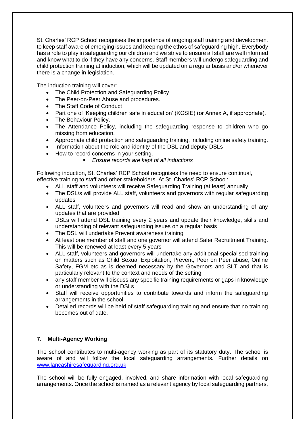St. Charles' RCP School recognises the importance of ongoing staff training and development to keep staff aware of emerging issues and keeping the ethos of safeguarding high. Everybody has a role to play in safeguarding our children and we strive to ensure all staff are well informed and know what to do if they have any concerns. Staff members will undergo safeguarding and child protection training at induction, which will be updated on a regular basis and/or whenever there is a change in legislation.

The induction training will cover:

- The Child Protection and Safeguarding Policy
- The Peer-on-Peer Abuse and procedures.
- The Staff Code of Conduct
- Part one of 'Keeping children safe in education' (KCSIE) (or Annex A, if appropriate).
- The Behaviour Policy.
- The Attendance Policy, including the safeguarding response to children who go missing from education.
- Appropriate child protection and safeguarding training, including online safety training.
- Information about the role and identity of the DSL and deputy DSLs
- How to record concerns in your setting.
	- *Ensure records are kept of all inductions*

Following induction, St. Charles' RCP School recognises the need to ensure continual, effective training to staff and other stakeholders. At St. Charles' RCP School:

- ALL staff and volunteers will receive Safeguarding Training (at least) annually
- The DSL/s will provide ALL staff, volunteers and governors with regular safeguarding updates
- ALL staff, volunteers and governors will read and show an understanding of any updates that are provided
- DSLs will attend DSL training every 2 years and update their knowledge, skills and understanding of relevant safeguarding issues on a regular basis
- The DSL will undertake Prevent awareness training
- At least one member of staff and one governor will attend Safer Recruitment Training. This will be renewed at least every 5 years
- ALL staff, volunteers and governors will undertake any additional specialised training on matters such as Child Sexual Exploitation, Prevent, Peer on Peer abuse, Online Safety, FGM etc as is deemed necessary by the Governors and SLT and that is particularly relevant to the context and needs of the setting
- any staff member will discuss any specific training requirements or gaps in knowledge or understanding with the DSLs
- Staff will receive opportunities to contribute towards and inform the safeguarding arrangements in the school
- Detailed records will be held of staff safeguarding training and ensure that no training becomes out of date.

# **7. Multi-Agency Working**

The school contributes to multi-agency working as part of its statutory duty. The school is aware of and will follow the local safeguarding arrangements. Further details on [www.lancashiresafeguarding.org.uk](http://www.lancashiresafeguarding.org.uk/)

The school will be fully engaged, involved, and share information with local safeguarding arrangements. Once the school is named as a relevant agency by local safeguarding partners,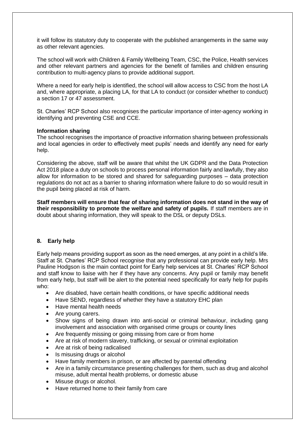it will follow its statutory duty to cooperate with the published arrangements in the same way as other relevant agencies.

The school will work with Children & Family Wellbeing Team, CSC, the Police, Health services and other relevant partners and agencies for the benefit of families and children ensuring contribution to multi-agency plans to provide additional support.

Where a need for early help is identified, the school will allow access to CSC from the host LA and, where appropriate, a placing LA, for that LA to conduct (or consider whether to conduct) a section 17 or 47 assessment.

St. Charles' RCP School also recognises the particular importance of inter-agency working in identifying and preventing CSE and CCE.

#### **Information sharing**

The school recognises the importance of proactive information sharing between professionals and local agencies in order to effectively meet pupils' needs and identify any need for early help.

Considering the above, staff will be aware that whilst the UK GDPR and the Data Protection Act 2018 place a duty on schools to process personal information fairly and lawfully, they also allow for information to be stored and shared for safeguarding purposes – data protection regulations do not act as a barrier to sharing information where failure to do so would result in the pupil being placed at risk of harm.

**Staff members will ensure that fear of sharing information does not stand in the way of their responsibility to promote the welfare and safety of pupils.** If staff members are in doubt about sharing information, they will speak to the DSL or deputy DSLs.

# **8. Early help**

Early help means providing support as soon as the need emerges, at any point in a child's life. Staff at St. Charles' RCP School recognise that any professional can provide early help. Mrs Pauline Hodgson is the main contact point for Early help services at St. Charles' RCP School and staff know to liaise with her if they have any concerns. Any pupil or family may benefit from early help, but staff will be alert to the potential need specifically for early help for pupils who:

- Are disabled, have certain health conditions, or have specific additional needs
- Have SEND, regardless of whether they have a statutory EHC plan
- Have mental health needs
- Are young carers.
- Show signs of being drawn into anti-social or criminal behaviour, including gang involvement and association with organised crime groups or county lines
- Are frequently missing or going missing from care or from home
- Are at risk of modern slavery, trafficking, or sexual or criminal exploitation
- Are at risk of being radicalised
- Is misusing drugs or alcohol
- Have family members in prison, or are affected by parental offending
- Are in a family circumstance presenting challenges for them, such as drug and alcohol misuse, adult mental health problems, or domestic abuse
- Misuse drugs or alcohol.
- Have returned home to their family from care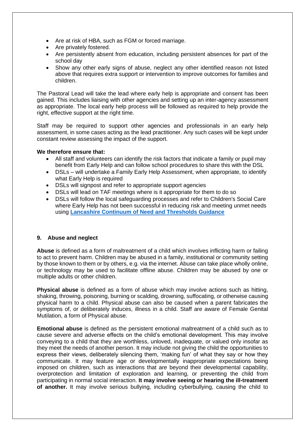- Are at risk of HBA, such as FGM or forced marriage.
- Are privately fostered.
- Are persistently absent from education, including persistent absences for part of the school day
- Show any other early signs of abuse, neglect any other identified reason not listed above that requires extra support or intervention to improve outcomes for families and children.

The Pastoral Lead will take the lead where early help is appropriate and consent has been gained. This includes liaising with other agencies and setting up an inter-agency assessment as appropriate. The local early help process will be followed as required to help provide the right, effective support at the right time.

Staff may be required to support other agencies and professionals in an early help assessment, in some cases acting as the lead practitioner. Any such cases will be kept under constant review assessing the impact of the support.

# **We therefore ensure that:**

- All staff and volunteers can identify the risk factors that indicate a family or pupil may benefit from Early Help and can follow school procedures to share this with the DSL
- DSLs will undertake a Family Early Help Assessment, when appropriate, to identify what Early Help is required
- DSLs will signpost and refer to appropriate support agencies
- DSLs will lead on TAF meetings where is it appropriate for them to do so
- DSLs will follow the local safeguarding processes and refer to Children's Social Care where Early Help has not been successful in reducing risk and meeting unmet needs using **[Lancashire Continuum of Need and Thresholds Guidance](http://www.lancashiresafeguarding.org.uk/resources/assessment-and-referral.aspx)**

# **9. Abuse and neglect**

**Abuse** is defined as a form of maltreatment of a child which involves inflicting harm or failing to act to prevent harm. Children may be abused in a family, institutional or community setting by those known to them or by others, e.g. via the internet. Abuse can take place wholly online, or technology may be used to facilitate offline abuse. Children may be abused by one or multiple adults or other children.

**Physical abuse** is defined as a form of abuse which may involve actions such as hitting, shaking, throwing, poisoning, burning or scalding, drowning, suffocating, or otherwise causing physical harm to a child. Physical abuse can also be caused when a parent fabricates the symptoms of, or deliberately induces, illness in a child. Staff are aware of Female Genital Mutilation, a form of Physical abuse.

**Emotional abuse** is defined as the persistent emotional maltreatment of a child such as to cause severe and adverse effects on the child's emotional development. This may involve conveying to a child that they are worthless, unloved, inadequate, or valued only insofar as they meet the needs of another person. It may include not giving the child the opportunities to express their views, deliberately silencing them, 'making fun' of what they say or how they communicate. It may feature age or developmentally inappropriate expectations being imposed on children, such as interactions that are beyond their developmental capability, overprotection and limitation of exploration and learning, or preventing the child from participating in normal social interaction. **It may involve seeing or hearing the ill-treatment of another.** It may involve serious bullying, including cyberbullying, causing the child to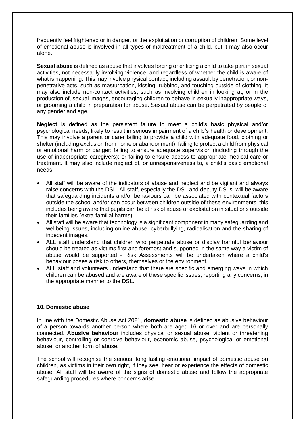frequently feel frightened or in danger, or the exploitation or corruption of children. Some level of emotional abuse is involved in all types of maltreatment of a child, but it may also occur alone.

**Sexual abuse** is defined as abuse that involves forcing or enticing a child to take part in sexual activities, not necessarily involving violence, and regardless of whether the child is aware of what is happening. This may involve physical contact, including assault by penetration, or nonpenetrative acts, such as masturbation, kissing, rubbing, and touching outside of clothing. It may also include non-contact activities, such as involving children in looking at, or in the production of, sexual images, encouraging children to behave in sexually inappropriate ways, or grooming a child in preparation for abuse. Sexual abuse can be perpetrated by people of any gender and age.

**Neglect** is defined as the persistent failure to meet a child's basic physical and/or psychological needs, likely to result in serious impairment of a child's health or development. This may involve a parent or carer failing to provide a child with adequate food, clothing or shelter (including exclusion from home or abandonment); failing to protect a child from physical or emotional harm or danger; failing to ensure adequate supervision (including through the use of inappropriate caregivers); or failing to ensure access to appropriate medical care or treatment. It may also include neglect of, or unresponsiveness to, a child's basic emotional needs.

- All staff will be aware of the indicators of abuse and neglect and be vigilant and always raise concerns with the DSL. All staff, especially the DSL and deputy DSLs, will be aware that safeguarding incidents and/or behaviours can be associated with contextual factors outside the school and/or can occur between children outside of these environments; this includes being aware that pupils can be at risk of abuse or exploitation in situations outside their families (extra-familial harms).
- All staff will be aware that technology is a significant component in many safeguarding and wellbeing issues, including online abuse, cyberbullying, radicalisation and the sharing of indecent images.
- ALL staff understand that children who perpetrate abuse or display harmful behaviour should be treated as victims first and foremost and supported in the same way a victim of abuse would be supported - Risk Assessments will be undertaken where a child's behaviour poses a risk to others, themselves or the environment.
- ALL staff and volunteers understand that there are specific and emerging ways in which children can be abused and are aware of these specific issues, reporting any concerns, in the appropriate manner to the DSL.

# **10. Domestic abuse**

In line with the Domestic Abuse Act 2021, **domestic abuse** is defined as abusive behaviour of a person towards another person where both are aged 16 or over and are personally connected. **Abusive behaviour** includes physical or sexual abuse, violent or threatening behaviour, controlling or coercive behaviour, economic abuse, psychological or emotional abuse, or another form of abuse.

The school will recognise the serious, long lasting emotional impact of domestic abuse on children, as victims in their own right, if they see, hear or experience the effects of domestic abuse. All staff will be aware of the signs of domestic abuse and follow the appropriate safeguarding procedures where concerns arise.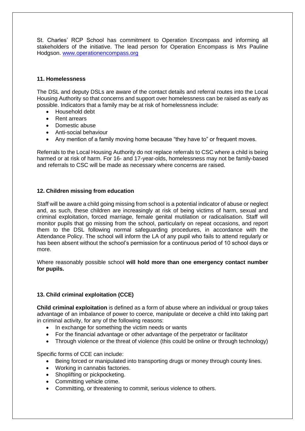St. Charles' RCP School has commitment to Operation Encompass and informing all stakeholders of the initiative. The lead person for Operation Encompass is Mrs Pauline Hodgson. [www.operationencompass.org](http://www.operationencompass.org/)

#### **11. Homelessness**

The DSL and deputy DSLs are aware of the contact details and referral routes into the Local Housing Authority so that concerns and support over homelessness can be raised as early as possible. Indicators that a family may be at risk of homelessness include:

- Household debt
- Rent arrears
- Domestic abuse
- Anti-social behaviour
- Any mention of a family moving home because "they have to" or frequent moves.

Referrals to the Local Housing Authority do not replace referrals to CSC where a child is being harmed or at risk of harm. For 16- and 17-year-olds, homelessness may not be family-based and referrals to CSC will be made as necessary where concerns are raised.

# **12. Children missing from education**

Staff will be aware a child going missing from school is a potential indicator of abuse or neglect and, as such, these children are increasingly at risk of being victims of harm, sexual and criminal exploitation, forced marriage, female genital mutilation or radicalisation. Staff will monitor pupils that go missing from the school, particularly on repeat occasions, and report them to the DSL following normal safeguarding procedures, in accordance with the Attendance Policy. The school will inform the LA of any pupil who fails to attend regularly or has been absent without the school's permission for a continuous period of 10 school days or more.

Where reasonably possible school **will hold more than one emergency contact number for pupils.** 

# **13. Child criminal exploitation (CCE)**

**Child criminal exploitation** is defined as a form of abuse where an individual or group takes advantage of an imbalance of power to coerce, manipulate or deceive a child into taking part in criminal activity, for any of the following reasons:

- In exchange for something the victim needs or wants
- For the financial advantage or other advantage of the perpetrator or facilitator
- Through violence or the threat of violence (this could be online or through technology)

Specific forms of CCE can include:

- Being forced or manipulated into transporting drugs or money through county lines.
- Working in cannabis factories.
- Shoplifting or pickpocketing.
- Committing vehicle crime.
- Committing, or threatening to commit, serious violence to others.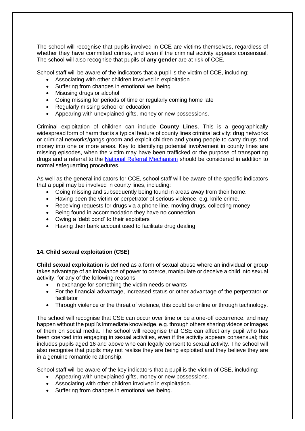The school will recognise that pupils involved in CCE are victims themselves, regardless of whether they have committed crimes, and even if the criminal activity appears consensual. The school will also recognise that pupils of **any gender** are at risk of CCE.

School staff will be aware of the indicators that a pupil is the victim of CCE, including:

- Associating with other children involved in exploitation
- Suffering from changes in emotional wellbeing
- Misusing drugs or alcohol
- Going missing for periods of time or regularly coming home late
- Regularly missing school or education
- Appearing with unexplained gifts, money or new possessions.

Criminal exploitation of children can include **County Lines**. This is a geographically widespread form of harm that is a typical feature of county lines criminal activity: drug networks or criminal networks/gangs groom and exploit children and young people to carry drugs and money into one or more areas. Key to identifying potential involvement in county lines are missing episodes, when the victim may have been trafficked or the purpose of transporting drugs and a referral to the [National Referral Mechanism](https://www.gov.uk/government/publications/human-trafficking-victims-referral-and-assessment-forms/guidance-on-the-national-referral-mechanism-for-potential-adult-victims-of-modern-slavery-england-and-wales#what-the-national-referral-mechanism-is) should be considered in addition to normal safeguarding procedures.

As well as the general indicators for CCE, school staff will be aware of the specific indicators that a pupil may be involved in county lines, including:

- Going missing and subsequently being found in areas away from their home.
- Having been the victim or perpetrator of serious violence, e.g. knife crime.
- Receiving requests for drugs via a phone line, moving drugs, collecting money
- Being found in accommodation they have no connection
- Owing a 'debt bond' to their exploiters
- Having their bank account used to facilitate drug dealing.

# **14. Child sexual exploitation (CSE)**

**Child sexual exploitation** is defined as a form of sexual abuse where an individual or group takes advantage of an imbalance of power to coerce, manipulate or deceive a child into sexual activity, for any of the following reasons:

- In exchange for something the victim needs or wants
- For the financial advantage, increased status or other advantage of the perpetrator or facilitator
- Through violence or the threat of violence, this could be online or through technology.

The school will recognise that CSE can occur over time or be a one-off occurrence, and may happen without the pupil's immediate knowledge, e.g. through others sharing videos or images of them on social media. The school will recognise that CSE can affect any pupil who has been coerced into engaging in sexual activities, even if the activity appears consensual; this includes pupils aged 16 and above who can legally consent to sexual activity. The school will also recognise that pupils may not realise they are being exploited and they believe they are in a genuine romantic relationship.

School staff will be aware of the key indicators that a pupil is the victim of CSE, including:

- Appearing with unexplained gifts, money or new possessions.
- Associating with other children involved in exploitation.
- Suffering from changes in emotional wellbeing.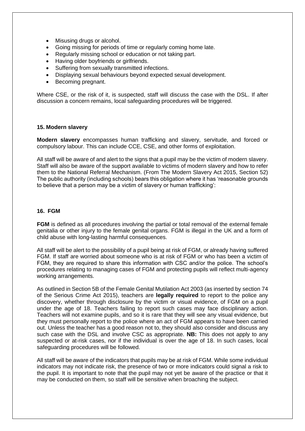- Misusing drugs or alcohol.
- Going missing for periods of time or regularly coming home late.
- Regularly missing school or education or not taking part.
- Having older boyfriends or girlfriends.
- Suffering from sexually transmitted infections.
- Displaying sexual behaviours beyond expected sexual development.
- Becoming pregnant.

Where CSE, or the risk of it, is suspected, staff will discuss the case with the DSL. If after discussion a concern remains, local safeguarding procedures will be triggered.

#### **15. Modern slavery**

**Modern slavery** encompasses human trafficking and slavery, servitude, and forced or compulsory labour. This can include CCE, CSE, and other forms of exploitation.

All staff will be aware of and alert to the signs that a pupil may be the victim of modern slavery. Staff will also be aware of the support available to victims of modern slavery and how to refer them to the National Referral Mechanism. (From The Modern Slavery Act 2015, Section 52) The public authority (including schools) bears this obligation where it has 'reasonable grounds to believe that a person may be a victim of slavery or human trafficking':

#### **16. FGM**

**FGM** is defined as all procedures involving the partial or total removal of the external female genitalia or other injury to the female genital organs. FGM is illegal in the UK and a form of child abuse with long-lasting harmful consequences.

All staff will be alert to the possibility of a pupil being at risk of FGM, or already having suffered FGM. If staff are worried about someone who is at risk of FGM or who has been a victim of FGM, they are required to share this information with CSC and/or the police. The school's procedures relating to managing cases of FGM and protecting pupils will reflect multi-agency working arrangements.

As outlined in Section 5B of the Female Genital Mutilation Act 2003 (as inserted by section 74 of the Serious Crime Act 2015), teachers are **legally required** to report to the police any discovery, whether through disclosure by the victim or visual evidence, of FGM on a pupil under the age of 18. Teachers failing to report such cases may face disciplinary action. Teachers will not examine pupils, and so it is rare that they will see any visual evidence, but they must personally report to the police where an act of FGM appears to have been carried out. Unless the teacher has a good reason not to, they should also consider and discuss any such case with the DSL and involve CSC as appropriate. **NB:** This does not apply to any suspected or at-risk cases, nor if the individual is over the age of 18. In such cases, local safeguarding procedures will be followed.

All staff will be aware of the indicators that pupils may be at risk of FGM. While some individual indicators may not indicate risk, the presence of two or more indicators could signal a risk to the pupil. It is important to note that the pupil may not yet be aware of the practice or that it may be conducted on them, so staff will be sensitive when broaching the subject.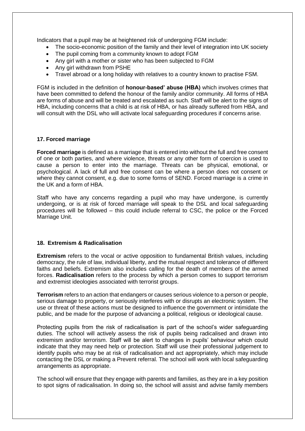Indicators that a pupil may be at heightened risk of undergoing FGM include:

- The socio-economic position of the family and their level of integration into UK society
- The pupil coming from a community known to adopt FGM
- Any girl with a mother or sister who has been subjected to FGM
- Any girl withdrawn from PSHE
- Travel abroad or a long holiday with relatives to a country known to practise FSM.

FGM is included in the definition of **honour-based' abuse (HBA)** which involves crimes that have been committed to defend the honour of the family and/or community. All forms of HBA are forms of abuse and will be treated and escalated as such. Staff will be alert to the signs of HBA, including concerns that a child is at risk of HBA, or has already suffered from HBA, and will consult with the DSL who will activate local safeguarding procedures if concerns arise.

# **17. Forced marriage**

**Forced marriage** is defined as a marriage that is entered into without the full and free consent of one or both parties, and where violence, threats or any other form of coercion is used to cause a person to enter into the marriage. Threats can be physical, emotional, or psychological. A lack of full and free consent can be where a person does not consent or where they cannot consent, e.g. due to some forms of SEND. Forced marriage is a crime in the UK and a form of HBA.

Staff who have any concerns regarding a pupil who may have undergone, is currently undergoing, or is at risk of forced marriage will speak to the DSL and local safeguarding procedures will be followed – this could include referral to CSC, the police or the Forced Marriage Unit.

# **18. Extremism & Radicalisation**

**Extremism** refers to the vocal or active opposition to fundamental British values, including democracy, the rule of law, individual liberty, and the mutual respect and tolerance of different faiths and beliefs. Extremism also includes calling for the death of members of the armed forces. **Radicalisation** refers to the process by which a person comes to support terrorism and extremist ideologies associated with terrorist groups.

**Terrorism** refers to an action that endangers or causes serious violence to a person or people, serious damage to property, or seriously interferes with or disrupts an electronic system. The use or threat of these actions must be designed to influence the government or intimidate the public, and be made for the purpose of advancing a political, religious or ideological cause.

Protecting pupils from the risk of radicalisation is part of the school's wider safeguarding duties. The school will actively assess the risk of pupils being radicalised and drawn into extremism and/or terrorism. Staff will be alert to changes in pupils' behaviour which could indicate that they may need help or protection. Staff will use their professional judgement to identify pupils who may be at risk of radicalisation and act appropriately, which may include contacting the DSL or making a Prevent referral. The school will work with local safeguarding arrangements as appropriate.

The school will ensure that they engage with parents and families, as they are in a key position to spot signs of radicalisation. In doing so, the school will assist and advise family members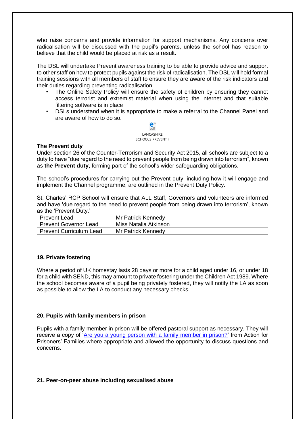who raise concerns and provide information for support mechanisms. Any concerns over radicalisation will be discussed with the pupil's parents, unless the school has reason to believe that the child would be placed at risk as a result.

The DSL will undertake Prevent awareness training to be able to provide advice and support to other staff on how to protect pupils against the risk of radicalisation. The DSL will hold formal training sessions with all members of staff to ensure they are aware of the risk indicators and their duties regarding preventing radicalisation.

- The Online Safety Policy will ensure the safety of children by ensuring they cannot access terrorist and extremist material when using the internet and that suitable filtering software is in place
- DSLs understand when it is appropriate to make a referral to the Channel Panel and are aware of how to do so.



#### **The Prevent duty**

Under section 26 of the Counter-Terrorism and Security Act 2015, all schools are subject to a duty to have "due regard to the need to prevent people from being drawn into terrorism", known as **the Prevent duty,** forming part of the school's wider safeguarding obligations.

The school's procedures for carrying out the Prevent duty, including how it will engage and implement the Channel programme, are outlined in the Prevent Duty Policy.

St. Charles' RCP School will ensure that ALL Staff, Governors and volunteers are informed and have 'due regard to the need to prevent people from being drawn into terrorism', known as the 'Prevent Duty.'

| <b>Prevent Lead</b>            | Mr Patrick Kennedy    |
|--------------------------------|-----------------------|
| <b>Prevent Governor Lead</b>   | Miss Natalia Atkinson |
| <b>Prevent Curriculum Lead</b> | Mr Patrick Kennedy    |

# **19. Private fostering**

Where a period of UK homestay lasts 28 days or more for a child aged under 16, or under 18 for a child with SEND, this may amount to private fostering under the Children Act 1989. Where the school becomes aware of a pupil being privately fostered, they will notify the LA as soon as possible to allow the LA to conduct any necessary checks.

# **20. Pupils with family members in prison**

Pupils with a family member in prison will be offered pastoral support as necessary. They will receive a copy of ['Are you a young person with a family member in prison?'](https://www.nicco.org.uk/directory-of-resources) from Action for Prisoners' Families where appropriate and allowed the opportunity to discuss questions and concerns.

#### **21. Peer-on-peer abuse including sexualised abuse**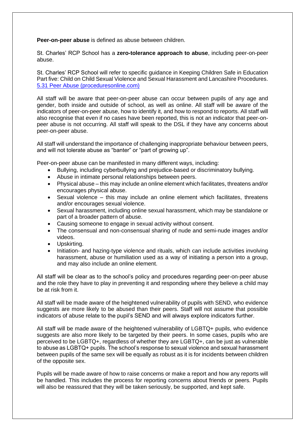**Peer-on-peer abuse** is defined as abuse between children.

St. Charles' RCP School has a **zero-tolerance approach to abuse**, including peer-on-peer abuse.

St. Charles' RCP School will refer to specific guidance in Keeping Children Safe in Education Part five: Child on Child Sexual Violence and Sexual Harassment and Lancashire Procedures. [5.31 Peer Abuse \(proceduresonline.com\)](https://panlancashirescb.proceduresonline.com/chapters/p_peer_abuse.html)

All staff will be aware that peer-on-peer abuse can occur between pupils of any age and gender, both inside and outside of school, as well as online. All staff will be aware of the indicators of peer-on-peer abuse, how to identify it, and how to respond to reports. All staff will also recognise that even if no cases have been reported, this is not an indicator that peer-onpeer abuse is not occurring. All staff will speak to the DSL if they have any concerns about peer-on-peer abuse.

All staff will understand the importance of challenging inappropriate behaviour between peers, and will not tolerate abuse as "banter" or "part of growing up".

Peer-on-peer abuse can be manifested in many different ways, including:

- Bullying, including cyberbullying and prejudice-based or discriminatory bullying.
- Abuse in intimate personal relationships between peers.
- Physical abuse this may include an online element which facilitates, threatens and/or encourages physical abuse.
- Sexual violence this may include an online element which facilitates, threatens and/or encourages sexual violence.
- Sexual harassment, including online sexual harassment, which may be standalone or part of a broader pattern of abuse.
- Causing someone to engage in sexual activity without consent.
- The consensual and non-consensual sharing of nude and semi-nude images and/or videos.
- Upskirting.
- Initiation- and hazing-type violence and rituals, which can include activities involving harassment, abuse or humiliation used as a way of initiating a person into a group, and may also include an online element.

All staff will be clear as to the school's policy and procedures regarding peer-on-peer abuse and the role they have to play in preventing it and responding where they believe a child may be at risk from it.

All staff will be made aware of the heightened vulnerability of pupils with SEND, who evidence suggests are more likely to be abused than their peers. Staff will not assume that possible indicators of abuse relate to the pupil's SEND and will always explore indicators further.

All staff will be made aware of the heightened vulnerability of LGBTQ+ pupils, who evidence suggests are also more likely to be targeted by their peers. In some cases, pupils who are perceived to be LGBTQ+, regardless of whether they are LGBTQ+, can be just as vulnerable to abuse as LGBTQ+ pupils. The school's response to sexual violence and sexual harassment between pupils of the same sex will be equally as robust as it is for incidents between children of the opposite sex.

Pupils will be made aware of how to raise concerns or make a report and how any reports will be handled. This includes the process for reporting concerns about friends or peers. Pupils will also be reassured that they will be taken seriously, be supported, and kept safe.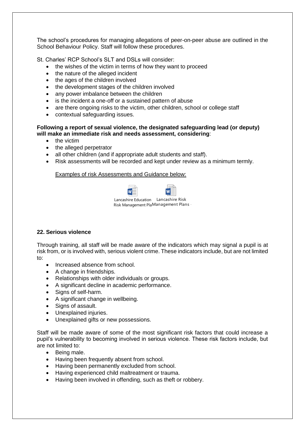The school's procedures for managing allegations of peer-on-peer abuse are outlined in the School Behaviour Policy. Staff will follow these procedures.

St. Charles' RCP School's SLT and DSLs will consider:

- the wishes of the victim in terms of how they want to proceed
- the nature of the alleged incident
- the ages of the children involved
- the development stages of the children involved
- any power imbalance between the children
- is the incident a one-off or a sustained pattern of abuse
- are there ongoing risks to the victim, other children, school or college staff
- contextual safeguarding issues.

#### **Following a report of sexual violence, the designated safeguarding lead (or deputy) will make an immediate risk and needs assessment, considering**:

- the victim
- the alleged perpetrator
- all other children (and if appropriate adult students and staff).
- Risk assessments will be recorded and kept under review as a minimum termly.

#### Examples of risk Assessments and Guidance below:



# **22. Serious violence**

Through training, all staff will be made aware of the indicators which may signal a pupil is at risk from, or is involved with, serious violent crime. These indicators include, but are not limited to:

- Increased absence from school.
- A change in friendships.
- Relationships with older individuals or groups.
- A significant decline in academic performance.
- Signs of self-harm.
- A significant change in wellbeing.
- Signs of assault.
- Unexplained injuries.
- Unexplained gifts or new possessions.

Staff will be made aware of some of the most significant risk factors that could increase a pupil's vulnerability to becoming involved in serious violence. These risk factors include, but are not limited to:

- Being male.
- Having been frequently absent from school.
- Having been permanently excluded from school.
- Having experienced child maltreatment or trauma.
- Having been involved in offending, such as theft or robbery.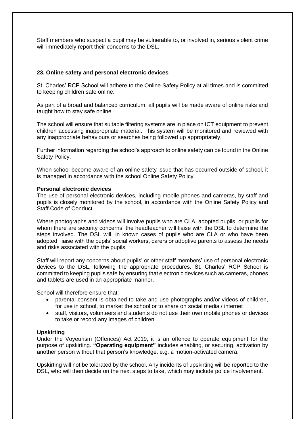Staff members who suspect a pupil may be vulnerable to, or involved in, serious violent crime will immediately report their concerns to the DSL.

#### **23. Online safety and personal electronic devices**

St. Charles' RCP School will adhere to the Online Safety Policy at all times and is committed to keeping children safe online.

As part of a broad and balanced curriculum, all pupils will be made aware of online risks and taught how to stay safe online.

The school will ensure that suitable filtering systems are in place on ICT equipment to prevent children accessing inappropriate material. This system will be monitored and reviewed with any inappropriate behaviours or searches being followed up appropriately.

Further information regarding the school's approach to online safety can be found in the Online Safety Policy.

When school become aware of an online safety issue that has occurred outside of school, it is managed in accordance with the school Online Safety Policy

#### **Personal electronic devices**

The use of personal electronic devices, including mobile phones and cameras, by staff and pupils is closely monitored by the school, in accordance with the Online Safety Policy and Staff Code of Conduct.

Where photographs and videos will involve pupils who are CLA, adopted pupils, or pupils for whom there are security concerns, the headteacher will liaise with the DSL to determine the steps involved. The DSL will, in known cases of pupils who are CLA or who have been adopted, liaise with the pupils' social workers, carers or adoptive parents to assess the needs and risks associated with the pupils.

Staff will report any concerns about pupils' or other staff members' use of personal electronic devices to the DSL, following the appropriate procedures. St. Charles' RCP School is committed to keeping pupils safe by ensuring that electronic devices such as cameras, phones and tablets are used in an appropriate manner.

School will therefore ensure that:

- parental consent is obtained to take and use photographs and/or videos of children, for use in school, to market the school or to share on social media / internet
- staff, visitors, volunteers and students do not use their own mobile phones or devices to take or record any images of children.

#### **Upskirting**

Under the Voyeurism (Offences) Act 2019, it is an offence to operate equipment for the purpose of upskirting. **"Operating equipment"** includes enabling, or securing, activation by another person without that person's knowledge, e.g. a motion-activated camera.

Upskirting will not be tolerated by the school. Any incidents of upskirting will be reported to the DSL, who will then decide on the next steps to take, which may include police involvement.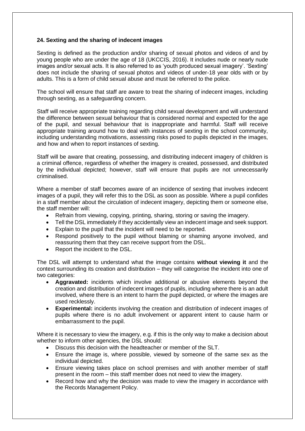# **24. Sexting and the sharing of indecent images**

Sexting is defined as the production and/or sharing of sexual photos and videos of and by young people who are under the age of 18 (UKCCIS, 2016). It includes nude or nearly nude images and/or sexual acts. It is also referred to as 'youth produced sexual imagery'. 'Sexting' does not include the sharing of sexual photos and videos of under-18 year olds with or by adults. This is a form of child sexual abuse and must be referred to the police.

The school will ensure that staff are aware to treat the sharing of indecent images, including through sexting, as a safeguarding concern.

Staff will receive appropriate training regarding child sexual development and will understand the difference between sexual behaviour that is considered normal and expected for the age of the pupil, and sexual behaviour that is inappropriate and harmful. Staff will receive appropriate training around how to deal with instances of sexting in the school community, including understanding motivations, assessing risks posed to pupils depicted in the images, and how and when to report instances of sexting.

Staff will be aware that creating, possessing, and distributing indecent imagery of children is a criminal offence, regardless of whether the imagery is created, possessed, and distributed by the individual depicted; however, staff will ensure that pupils are not unnecessarily criminalised.

Where a member of staff becomes aware of an incidence of sexting that involves indecent images of a pupil, they will refer this to the DSL as soon as possible. Where a pupil confides in a staff member about the circulation of indecent imagery, depicting them or someone else, the staff member will:

- Refrain from viewing, copying, printing, sharing, storing or saving the imagery.
- Tell the DSL immediately if they accidentally view an indecent image and seek support.
- Explain to the pupil that the incident will need to be reported.
- Respond positively to the pupil without blaming or shaming anyone involved, and reassuring them that they can receive support from the DSL.
- Report the incident to the DSL.

The DSL will attempt to understand what the image contains **without viewing it** and the context surrounding its creation and distribution – they will categorise the incident into one of two categories:

- **Aggravated:** incidents which involve additional or abusive elements beyond the creation and distribution of indecent images of pupils, including where there is an adult involved, where there is an intent to harm the pupil depicted, or where the images are used recklessly.
- **Experimental:** incidents involving the creation and distribution of indecent images of pupils where there is no adult involvement or apparent intent to cause harm or embarrassment to the pupil.

Where it is necessary to view the imagery, e.g. if this is the only way to make a decision about whether to inform other agencies, the DSL should:

- Discuss this decision with the headteacher or member of the SLT.
- Ensure the image is, where possible, viewed by someone of the same sex as the individual depicted.
- Ensure viewing takes place on school premises and with another member of staff present in the room – this staff member does not need to view the imagery.
- Record how and why the decision was made to view the imagery in accordance with the Records Management Policy.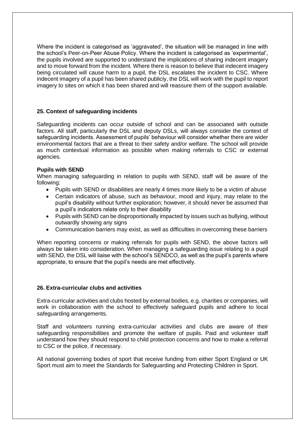Where the incident is categorised as 'aggravated', the situation will be managed in line with the school's Peer-on-Peer Abuse Policy. Where the incident is categorised as 'experimental', the pupils involved are supported to understand the implications of sharing indecent imagery and to move forward from the incident. Where there is reason to believe that indecent imagery being circulated will cause harm to a pupil, the DSL escalates the incident to CSC. Where indecent imagery of a pupil has been shared publicly, the DSL will work with the pupil to report imagery to sites on which it has been shared and will reassure them of the support available.

# **25. Context of safeguarding incidents**

Safeguarding incidents can occur outside of school and can be associated with outside factors. All staff, particularly the DSL and deputy DSLs, will always consider the context of safeguarding incidents. Assessment of pupils' behaviour will consider whether there are wider environmental factors that are a threat to their safety and/or welfare. The school will provide as much contextual information as possible when making referrals to CSC or external agencies.

# **Pupils with SEND**

When managing safeguarding in relation to pupils with SEND, staff will be aware of the following:

- Pupils with SEND or disabilities are nearly 4 times more likely to be a victim of abuse
- Certain indicators of abuse, such as behaviour, mood and injury, may relate to the pupil's disability without further exploration; however, it should never be assumed that a pupil's indicators relate only to their disability
- Pupils with SEND can be disproportionally impacted by issues such as bullying, without outwardly showing any signs
- Communication barriers may exist, as well as difficulties in overcoming these barriers

When reporting concerns or making referrals for pupils with SEND, the above factors will always be taken into consideration. When managing a safeguarding issue relating to a pupil with SEND, the DSL will liaise with the school's SENDCO, as well as the pupil's parents where appropriate, to ensure that the pupil's needs are met effectively.

# **26. Extra-curricular clubs and activities**

Extra-curricular activities and clubs hosted by external bodies, e.g. charities or companies, will work in collaboration with the school to effectively safeguard pupils and adhere to local safeguarding arrangements.

Staff and volunteers running extra-curricular activities and clubs are aware of their safeguarding responsibilities and promote the welfare of pupils. Paid and volunteer staff understand how they should respond to child protection concerns and how to make a referral to CSC or the police, if necessary.

All national governing bodies of sport that receive funding from either Sport England or UK Sport must aim to meet the Standards for Safeguarding and Protecting Children in Sport.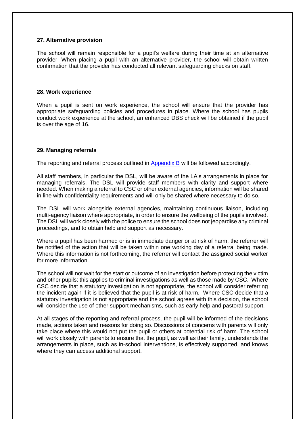#### **27. Alternative provision**

The school will remain responsible for a pupil's welfare during their time at an alternative provider. When placing a pupil with an alternative provider, the school will obtain written confirmation that the provider has conducted all relevant safeguarding checks on staff.

#### **28. Work experience**

When a pupil is sent on work experience, the school will ensure that the provider has appropriate safeguarding policies and procedures in place. Where the school has pupils conduct work experience at the school, an enhanced DBS check will be obtained if the pupil is over the age of 16.

#### **29. Managing referrals**

The reporting and referral process outlined in Appendix B will be followed accordingly.

All staff members, in particular the DSL, will be aware of the LA's arrangements in place for managing referrals. The DSL will provide staff members with clarity and support where needed. When making a referral to CSC or other external agencies, information will be shared in line with confidentiality requirements and will only be shared where necessary to do so.

The DSL will work alongside external agencies, maintaining continuous liaison, including multi-agency liaison where appropriate, in order to ensure the wellbeing of the pupils involved. The DSL will work closely with the police to ensure the school does not jeopardise any criminal proceedings, and to obtain help and support as necessary.

Where a pupil has been harmed or is in immediate danger or at risk of harm, the referrer will be notified of the action that will be taken within one working day of a referral being made. Where this information is not forthcoming, the referrer will contact the assigned social worker for more information.

The school will not wait for the start or outcome of an investigation before protecting the victim and other pupils: this applies to criminal investigations as well as those made by CSC. Where CSC decide that a statutory investigation is not appropriate, the school will consider referring the incident again if it is believed that the pupil is at risk of harm. Where CSC decide that a statutory investigation is not appropriate and the school agrees with this decision, the school will consider the use of other support mechanisms, such as early help and pastoral support.

At all stages of the reporting and referral process, the pupil will be informed of the decisions made, actions taken and reasons for doing so. Discussions of concerns with parents will only take place where this would not put the pupil or others at potential risk of harm. The school will work closely with parents to ensure that the pupil, as well as their family, understands the arrangements in place, such as in-school interventions, is effectively supported, and knows where they can access additional support.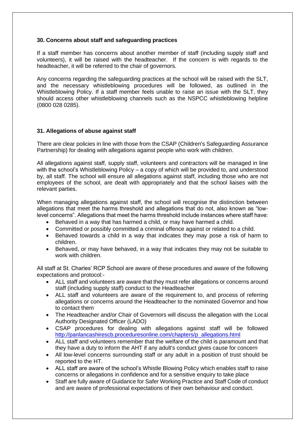#### **30. Concerns about staff and safeguarding practices**

If a staff member has concerns about another member of staff (including supply staff and volunteers), it will be raised with the headteacher. If the concern is with regards to the headteacher, it will be referred to the chair of governors.

Any concerns regarding the safeguarding practices at the school will be raised with the SLT, and the necessary whistleblowing procedures will be followed, as outlined in the Whistleblowing Policy. If a staff member feels unable to raise an issue with the SLT, they should access other whistleblowing channels such as the NSPCC whistleblowing helpline (0800 028 0285).

# **31. Allegations of abuse against staff**

There are clear policies in line with those from the CSAP (Children's Safeguarding Assurance Partnership) for dealing with allegations against people who work with children.

All allegations against staff, supply staff, volunteers and contractors will be managed in line with the school's Whistleblowing Policy – a copy of which will be provided to, and understood by, all staff. The school will ensure all allegations against staff, including those who are not employees of the school, are dealt with appropriately and that the school liaises with the relevant parties.

When managing allegations against staff, the school will recognise the distinction between allegations that meet the harms threshold and allegations that do not, also known as "lowlevel concerns". Allegations that meet the harms threshold include instances where staff have:

- Behaved in a way that has harmed a child, or may have harmed a child.
- Committed or possibly committed a criminal offence against or related to a child.
- Behaved towards a child in a way that indicates they may pose a risk of harm to children.
- Behaved, or may have behaved, in a way that indicates they may not be suitable to work with children.

All staff at St. Charles' RCP School are aware of these procedures and aware of the following expectations and protocol:-

- ALL staff and volunteers are aware that they must refer allegations or concerns around staff (including supply staff) conduct to the Headteacher
- ALL staff and volunteers are aware of the requirement to, and process of referring allegations or concerns around the Headteacher to the nominated Governor and how to contact them
- The Headteacher and/or Chair of Governors will discuss the allegation with the Local Authority Designated Officer (LADO)
- CSAP procedures for dealing with allegations against staff will be followed [http://panlancashirescb.proceduresonline.com/chapters/p\\_allegations.html](http://panlancashirescb.proceduresonline.com/chapters/p_allegations.html)
- ALL staff and volunteers remember that the welfare of the child is paramount and that they have a duty to inform the AHT if any adult's conduct gives cause for concern
- All low-level concerns surrounding staff or any adult in a position of trust should be reported to the HT.
- ALL staff are aware of the school's Whistle Blowing Policy which enables staff to raise concerns or allegations in confidence and for a sensitive enquiry to take place
- Staff are fully aware of Guidance for Safer Working Practice and Staff Code of conduct and are aware of professional expectations of their own behaviour and conduct.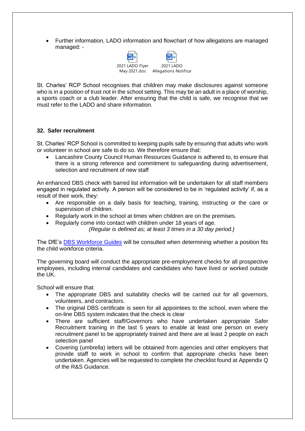• Further information, LADO information and flowchart of how allegations are managed managed: -



St. Charles' RCP School recognises that children may make disclosures against someone who is in a position of trust not in the school setting. This may be an adult in a place of worship, a sports coach or a club leader. After ensuring that the child is safe, we recognise that we must refer to the LADO and share information.

#### **32. Safer recruitment**

St. Charles' RCP School is committed to keeping pupils safe by ensuring that adults who work or volunteer in school are safe to do so. We therefore ensure that:

• Lancashire County Council Human Resources Guidance is adhered to, to ensure that there is a strong reference and commitment to safeguarding during advertisement, selection and recruitment of new staff

An enhanced DBS check with barred list information will be undertaken for all staff members engaged in regulated activity. A person will be considered to be in 'regulated activity' if, as a result of their work, they:

- Are responsible on a daily basis for teaching, training, instructing or the care or supervision of children.
- Regularly work in the school at times when children are on the premises.

• Regularly come into contact with children under 18 years of age.

*(Regular is defined as; at least 3 times in a 30 day period.)*

The DfE's [DBS Workforce Guides](https://www.gov.uk/government/publications/dbs-workforce-guidance) will be consulted when determining whether a position fits the child workforce criteria.

The governing board will conduct the appropriate pre-employment checks for all prospective employees, including internal candidates and candidates who have lived or worked outside the UK.

School will ensure that:

- The appropriate DBS and suitability checks will be carried out for all governors, volunteers, and contractors.
- The original DBS certificate is seen for all appointees to the school, even where the on-line DBS system indicates that the check is clear
- There are sufficient staff/Governors who have undertaken appropriate Safer Recruitment training in the last 5 years to enable at least one person on every recruitment panel to be appropriately trained and there are at least 2 people on each selection panel
- Covering (umbrella) letters will be obtained from agencies and other employers that provide staff to work in school to confirm that appropriate checks have been undertaken. Agencies will be requested to complete the checklist found at Appendix Q of the R&S Guidance.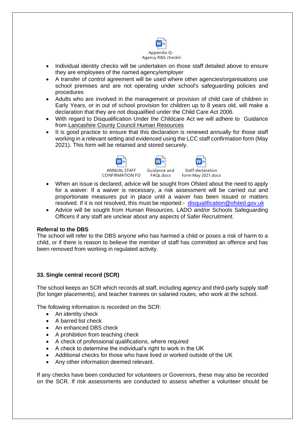

- Individual identity checks will be undertaken on those staff detailed above to ensure they are employees of the named agency/employer
- A transfer of control agreement will be used where other agencies/organisations use school premises and are not operating under school's safeguarding policies and procedures
- Adults who are involved in the management or provision of child care of children in Early Years, or in out of school provision for children up to 8 years old, will make a declaration that they are not disqualified under the Child Care Act 2006.
- With regard to Disqualification Under the Childcare Act we will adhere to Guidance from [Lancashire County Council Human Resources](file://///CorpData01/LCCUsers4$/vwallace001/My%20Documents/For%20portal/•%09https:/schoolsportal.lancsngfl.ac.uk/view_sp.asp%3fsiteid=4311&pageid=45826&e=e)
- It is good practice to ensure that this declaration is renewed annually for those staff working in a relevant setting and evidenced using the LCC staff confirmation form (May 2021). This form will be retained and stored securely.



- When an issue is declared, advice will be sought from Ofsted about the need to apply for a waiver. If a waiver is necessary, a risk assessment will be carried out and proportionate measures put in place until a waiver has been issued or matters resolved. If it is not resolved, this must be reported:- [disqualification@ofsted.gov.uk](mailto:disqualification@ofsted.gov.uk)
- Advice will be sought from Human Resources, LADO and/or Schools Safeguarding Officers if any staff are unclear about any aspects of Safer Recruitment.

# **Referral to the DBS**

The school will refer to the DBS anyone who has harmed a child or poses a risk of harm to a child, or if there is reason to believe the member of staff has committed an offence and has been removed from working in regulated activity.

# **33. Single central record (SCR)**

The school keeps an SCR which records all staff, including agency and third-party supply staff (for longer placements), and teacher trainees on salaried routes, who work at the school.

The following information is recorded on the SCR:

- An identity check
- A barred list check
- An enhanced DBS check
- A prohibition from teaching check
- A check of professional qualifications, where required
- A check to determine the individual's right to work in the UK
- Additional checks for those who have lived or worked outside of the UK
- Any other information deemed relevant.

If any checks have been conducted for volunteers or Governors, these may also be recorded on the SCR. If risk assessments are conducted to assess whether a volunteer should be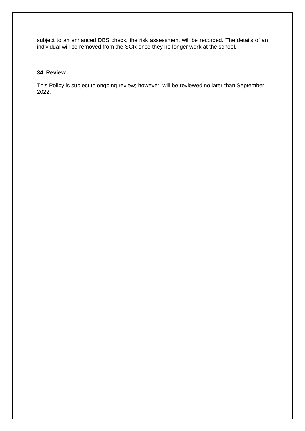subject to an enhanced DBS check, the risk assessment will be recorded. The details of an individual will be removed from the SCR once they no longer work at the school.

# **34. Review**

This Policy is subject to ongoing review; however, will be reviewed no later than September 2022.